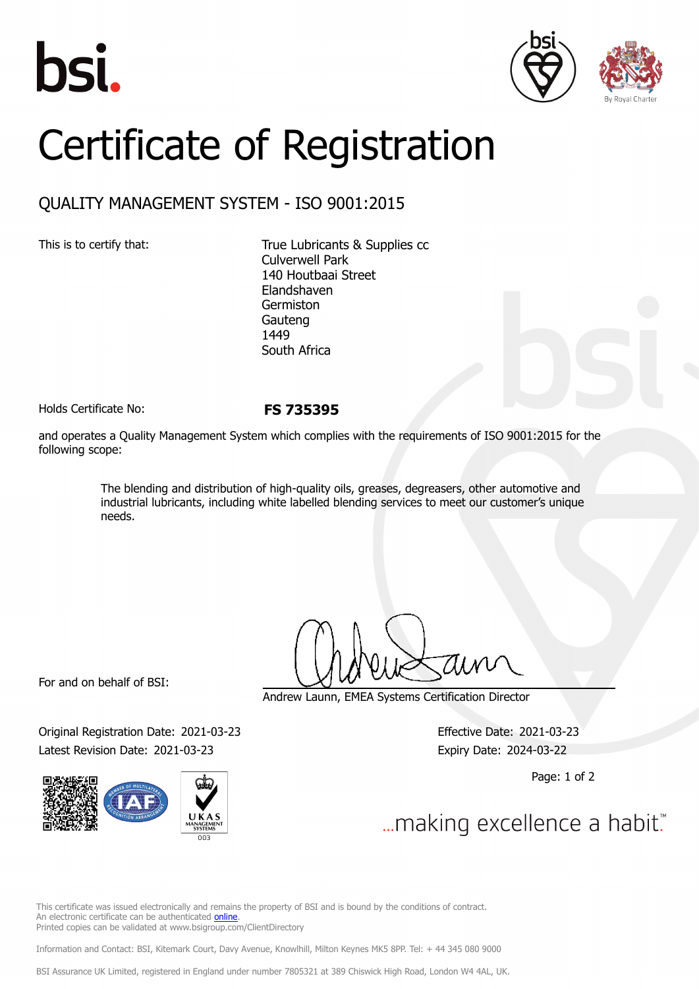





## Certificate of Registration

## QUALITY MANAGEMENT SYSTEM - ISO 9001:2015

This is to certify that: True Lubricants & Supplies cc Culverwell Park 140 Houtbaai Street Elandshaven Germiston Gauteng 1449 South Africa

Holds Certificate No: **FS 735395**

and operates a Quality Management System which complies with the requirements of ISO 9001:2015 for the following scope:

> The blending and distribution of high-quality oils, greases, degreasers, other automotive and industrial lubricants, including white labelled blending services to meet our customer's unique needs.

For and on behalf of BSI:

Original Registration Date: 2021-03-23 Effective Date: 2021-03-23 Latest Revision Date: 2021-03-23 Expiry Date: 2024-03-22



Andrew Launn, EMEA Systems Certification Director

Page: 1 of 2

... making excellence a habit."

This certificate was issued electronically and remains the property of BSI and is bound by the conditions of contract. An electronic certificate can be authenticated [online](https://pgplus.bsigroup.com/CertificateValidation/CertificateValidator.aspx?CertificateNumber=FS+735395&ReIssueDate=23%2f03%2f2021&Template=cemea_en) Printed copies can be validated at www.bsigroup.com/ClientDirectory

Information and Contact: BSI, Kitemark Court, Davy Avenue, Knowlhill, Milton Keynes MK5 8PP. Tel: + 44 345 080 9000

BSI Assurance UK Limited, registered in England under number 7805321 at 389 Chiswick High Road, London W4 4AL, UK.